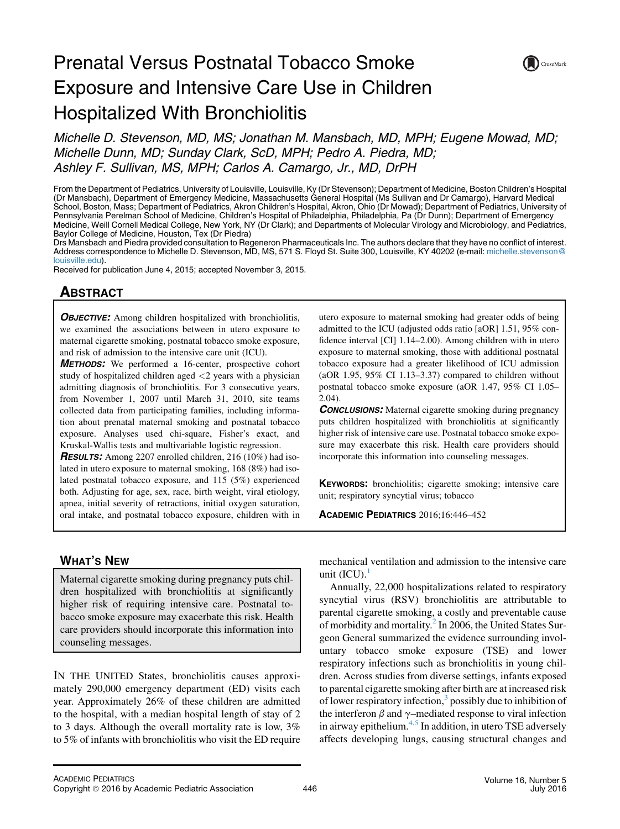# Prenatal Versus Postnatal Tobacco Smoke Exposure and Intensive Care Use in Children Hospitalized With Bronchiolitis

CrossMark

Michelle D. Stevenson, MD, MS; Jonathan M. Mansbach, MD, MPH; Eugene Mowad, MD; Michelle Dunn, MD; Sunday Clark, ScD, MPH; Pedro A. Piedra, MD; Ashley F. Sullivan, MS, MPH; Carlos A. Camargo, Jr., MD, DrPH

From the Department of Pediatrics, University of Louisville, Louisville, Ky (Dr Stevenson); Department of Medicine, Boston Children's Hospital (Dr Mansbach), Department of Emergency Medicine, Massachusetts General Hospital (Ms Sullivan and Dr Camargo), Harvard Medical School, Boston, Mass; Department of Pediatrics, Akron Children's Hospital, Akron, Ohio (Dr Mowad); Department of Pediatrics, University of Pennsylvania Perelman School of Medicine, Children's Hospital of Philadelphia, Philadelphia, Pa (Dr Dunn); Department of Emergency Medicine, Weill Cornell Medical College, New York, NY (Dr Clark); and Departments of Molecular Virology and Microbiology, and Pediatrics, Baylor College of Medicine, Houston, Tex (Dr Piedra)

Drs Mansbach and Piedra provided consultation to Regeneron Pharmaceuticals Inc. The authors declare that they have no conflict of interest. Address correspondence to Michelle D. Stevenson, MD, MS, 571 S. Floyd St. Suite 300, Louisville, KY 40202 (e-mail: [michelle.stevenson@](mailto:michelle.stevenson@louisville.edu) [louisville.edu\)](mailto:michelle.stevenson@louisville.edu).

Received for publication June 4, 2015; accepted November 3, 2015.

# **ABSTRACT**

**OBJECTIVE:** Among children hospitalized with bronchiolitis, we examined the associations between in utero exposure to maternal cigarette smoking, postnatal tobacco smoke exposure, and risk of admission to the intensive care unit (ICU).

**METHODS:** We performed a 16-center, prospective cohort study of hospitalized children aged <2 years with a physician admitting diagnosis of bronchiolitis. For 3 consecutive years, from November 1, 2007 until March 31, 2010, site teams collected data from participating families, including information about prenatal maternal smoking and postnatal tobacco exposure. Analyses used chi-square, Fisher's exact, and Kruskal-Wallis tests and multivariable logistic regression.

RESULTS: Among 2207 enrolled children, 216 (10%) had isolated in utero exposure to maternal smoking, 168 (8%) had isolated postnatal tobacco exposure, and 115 (5%) experienced both. Adjusting for age, sex, race, birth weight, viral etiology, apnea, initial severity of retractions, initial oxygen saturation, oral intake, and postnatal tobacco exposure, children with in utero exposure to maternal smoking had greater odds of being admitted to the ICU (adjusted odds ratio [aOR] 1.51, 95% confidence interval [CI] 1.14–2.00). Among children with in utero exposure to maternal smoking, those with additional postnatal tobacco exposure had a greater likelihood of ICU admission (aOR 1.95,  $95\%$  CI 1.13–3.37) compared to children without postnatal tobacco smoke exposure (aOR 1.47, 95% CI 1.05– 2.04).

**CONCLUSIONS:** Maternal cigarette smoking during pregnancy puts children hospitalized with bronchiolitis at significantly higher risk of intensive care use. Postnatal tobacco smoke exposure may exacerbate this risk. Health care providers should incorporate this information into counseling messages.

KEYWORDS: bronchiolitis; cigarette smoking; intensive care unit; respiratory syncytial virus; tobacco

ACADEMIC PEDIATRICS 2016;16:446–452

# WHAT'S NEW

Maternal cigarette smoking during pregnancy puts children hospitalized with bronchiolitis at significantly higher risk of requiring intensive care. Postnatal tobacco smoke exposure may exacerbate this risk. Health care providers should incorporate this information into counseling messages.

IN THE UNITED States, bronchiolitis causes approximately 290,000 emergency department (ED) visits each year. Approximately 26% of these children are admitted to the hospital, with a median hospital length of stay of 2 to 3 days. Although the overall mortality rate is low, 3% to 5% of infants with bronchiolitis who visit the ED require mechanical ventilation and admission to the intensive care unit  $(ICU)$ .

Annually, 22,000 hospitalizations related to respiratory syncytial virus (RSV) bronchiolitis are attributable to parental cigarette smoking, a costly and preventable cause of morbidity and mortality.<sup>[2](#page-5-0)</sup> In 2006, the United States Surgeon General summarized the evidence surrounding involuntary tobacco smoke exposure (TSE) and lower respiratory infections such as bronchiolitis in young children. Across studies from diverse settings, infants exposed to parental cigarette smoking after birth are at increased risk of lower respiratory infection, $3$  possibly due to inhibition of the interferon  $\beta$  and  $\gamma$ –mediated response to viral infection in airway epithelium.<sup>[4,5](#page-5-0)</sup> In addition, in utero TSE adversely affects developing lungs, causing structural changes and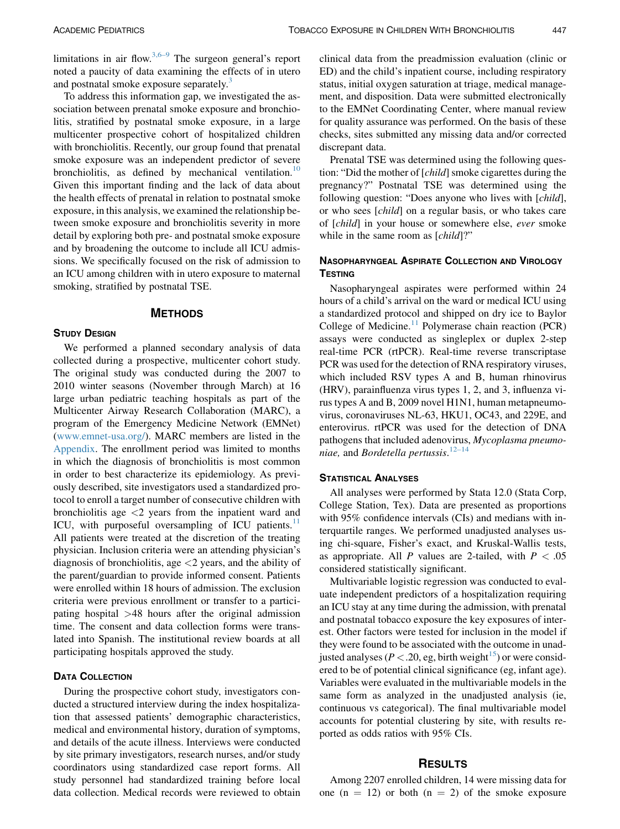limitations in air flow.  $3,6-9$  The surgeon general's report noted a paucity of data examining the effects of in utero and postnatal smoke exposure separately.<sup>[3](#page-5-0)</sup>

To address this information gap, we investigated the association between prenatal smoke exposure and bronchiolitis, stratified by postnatal smoke exposure, in a large multicenter prospective cohort of hospitalized children with bronchiolitis. Recently, our group found that prenatal smoke exposure was an independent predictor of severe bronchiolitis, as defined by mechanical ventilation.<sup>10</sup> Given this important finding and the lack of data about the health effects of prenatal in relation to postnatal smoke exposure, in this analysis, we examined the relationship between smoke exposure and bronchiolitis severity in more detail by exploring both pre- and postnatal smoke exposure and by broadening the outcome to include all ICU admissions. We specifically focused on the risk of admission to an ICU among children with in utero exposure to maternal smoking, stratified by postnatal TSE.

# **METHODS**

#### **STUDY DESIGN**

We performed a planned secondary analysis of data collected during a prospective, multicenter cohort study. The original study was conducted during the 2007 to 2010 winter seasons (November through March) at 16 large urban pediatric teaching hospitals as part of the Multicenter Airway Research Collaboration (MARC), a program of the Emergency Medicine Network (EMNet) ([www.emnet-usa.org/\)](http://www.emnet-usa.org/). MARC members are listed in the [Appendix.](#page-5-0) The enrollment period was limited to months in which the diagnosis of bronchiolitis is most common in order to best characterize its epidemiology. As previously described, site investigators used a standardized protocol to enroll a target number of consecutive children with bronchiolitis age  $\langle 2 \rangle$  years from the inpatient ward and ICU, with purposeful oversampling of ICU patients. $^{11}$  $^{11}$  $^{11}$ All patients were treated at the discretion of the treating physician. Inclusion criteria were an attending physician's diagnosis of bronchiolitis, age  $\langle 2 \rangle$  years, and the ability of the parent/guardian to provide informed consent. Patients were enrolled within 18 hours of admission. The exclusion criteria were previous enrollment or transfer to a participating hospital >48 hours after the original admission time. The consent and data collection forms were translated into Spanish. The institutional review boards at all participating hospitals approved the study.

# DATA COLLECTION

During the prospective cohort study, investigators conducted a structured interview during the index hospitalization that assessed patients' demographic characteristics, medical and environmental history, duration of symptoms, and details of the acute illness. Interviews were conducted by site primary investigators, research nurses, and/or study coordinators using standardized case report forms. All study personnel had standardized training before local data collection. Medical records were reviewed to obtain

clinical data from the preadmission evaluation (clinic or ED) and the child's inpatient course, including respiratory status, initial oxygen saturation at triage, medical management, and disposition. Data were submitted electronically to the EMNet Coordinating Center, where manual review for quality assurance was performed. On the basis of these checks, sites submitted any missing data and/or corrected discrepant data.

Prenatal TSE was determined using the following question: "Did the mother of [child] smoke cigarettes during the pregnancy?" Postnatal TSE was determined using the following question: "Does anyone who lives with [*child*], or who sees [child] on a regular basis, or who takes care of [child] in your house or somewhere else, ever smoke while in the same room as [child]?"

# NASOPHARYNGEAL ASPIRATE COLLECTION AND VIROLOGY **TESTING**

Nasopharyngeal aspirates were performed within 24 hours of a child's arrival on the ward or medical ICU using a standardized protocol and shipped on dry ice to Baylor College of Medicine. $11$  Polymerase chain reaction (PCR) assays were conducted as singleplex or duplex 2-step real-time PCR (rtPCR). Real-time reverse transcriptase PCR was used for the detection of RNA respiratory viruses, which included RSV types A and B, human rhinovirus (HRV), parainfluenza virus types 1, 2, and 3, influenza virus types A and B, 2009 novel H1N1, human metapneumovirus, coronaviruses NL-63, HKU1, OC43, and 229E, and enterovirus. rtPCR was used for the detection of DNA pathogens that included adenovirus, Mycoplasma pneumoniae, and Bordetella pertussis. $12-14$ 

#### STATISTICAL ANALYSES

All analyses were performed by Stata 12.0 (Stata Corp, College Station, Tex). Data are presented as proportions with 95% confidence intervals (CIs) and medians with interquartile ranges. We performed unadjusted analyses using chi-square, Fisher's exact, and Kruskal-Wallis tests, as appropriate. All P values are 2-tailed, with  $P < .05$ considered statistically significant.

Multivariable logistic regression was conducted to evaluate independent predictors of a hospitalization requiring an ICU stay at any time during the admission, with prenatal and postnatal tobacco exposure the key exposures of interest. Other factors were tested for inclusion in the model if they were found to be associated with the outcome in unadjusted analyses ( $P < .20$ , eg, birth weight<sup>15</sup>) or were considered to be of potential clinical significance (eg, infant age). Variables were evaluated in the multivariable models in the same form as analyzed in the unadjusted analysis (ie, continuous vs categorical). The final multivariable model accounts for potential clustering by site, with results reported as odds ratios with 95% CIs.

#### **RESULTS**

Among 2207 enrolled children, 14 were missing data for one  $(n = 12)$  or both  $(n = 2)$  of the smoke exposure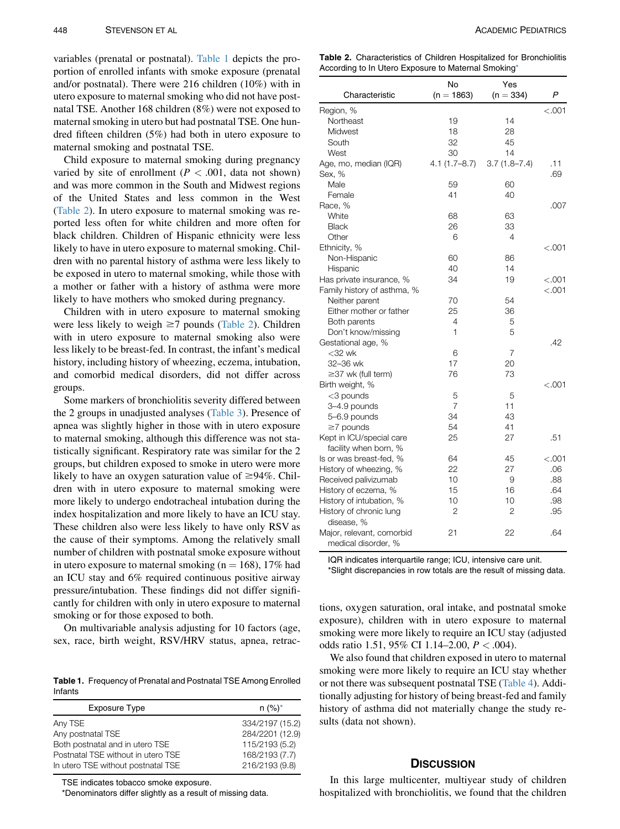variables (prenatal or postnatal). Table 1 depicts the proportion of enrolled infants with smoke exposure (prenatal and/or postnatal). There were 216 children (10%) with in utero exposure to maternal smoking who did not have postnatal TSE. Another 168 children (8%) were not exposed to maternal smoking in utero but had postnatal TSE. One hundred fifteen children (5%) had both in utero exposure to maternal smoking and postnatal TSE.

Child exposure to maternal smoking during pregnancy varied by site of enrollment ( $P < .001$ , data not shown) and was more common in the South and Midwest regions of the United States and less common in the West (Table 2). In utero exposure to maternal smoking was reported less often for white children and more often for black children. Children of Hispanic ethnicity were less likely to have in utero exposure to maternal smoking. Children with no parental history of asthma were less likely to be exposed in utero to maternal smoking, while those with a mother or father with a history of asthma were more likely to have mothers who smoked during pregnancy.

Children with in utero exposure to maternal smoking were less likely to weigh  $\geq$ 7 pounds (Table 2). Children with in utero exposure to maternal smoking also were less likely to be breast-fed. In contrast, the infant's medical history, including history of wheezing, eczema, intubation, and comorbid medical disorders, did not differ across groups.

Some markers of bronchiolitis severity differed between the 2 groups in unadjusted analyses ([Table 3\)](#page-3-0). Presence of apnea was slightly higher in those with in utero exposure to maternal smoking, although this difference was not statistically significant. Respiratory rate was similar for the 2 groups, but children exposed to smoke in utero were more likely to have an oxygen saturation value of  $\geq$ 94%. Children with in utero exposure to maternal smoking were more likely to undergo endotracheal intubation during the index hospitalization and more likely to have an ICU stay. These children also were less likely to have only RSV as the cause of their symptoms. Among the relatively small number of children with postnatal smoke exposure without in utero exposure to maternal smoking ( $n = 168$ ), 17% had an ICU stay and 6% required continuous positive airway pressure/intubation. These findings did not differ significantly for children with only in utero exposure to maternal smoking or for those exposed to both.

On multivariable analysis adjusting for 10 factors (age, sex, race, birth weight, RSV/HRV status, apnea, retrac-

Table 1. Frequency of Prenatal and Postnatal TSE Among Enrolled Infants

| <b>Exposure Type</b>               | $n (%)^*$       |  |
|------------------------------------|-----------------|--|
| Any TSE                            | 334/2197 (15.2) |  |
| Any postnatal TSE                  | 284/2201 (12.9) |  |
| Both postnatal and in utero TSE    | 115/2193 (5.2)  |  |
| Postnatal TSE without in utero TSE | 168/2193 (7.7)  |  |
| In utero TSE without postnatal TSE | 216/2193 (9.8)  |  |

TSE indicates tobacco smoke exposure.

\*Denominators differ slightly as a result of missing data.

Table 2. Characteristics of Children Hospitalized for Bronchiolitis According to In Utero Exposure to Maternal Smoking\*

| Characteristic                                   | No<br>$(n = 1863)$ | Yes<br>$(n = 334)$ | P       |
|--------------------------------------------------|--------------------|--------------------|---------|
| Region, %                                        |                    |                    | < 0.001 |
| Northeast                                        | 19                 | 14                 |         |
| Midwest                                          | 18                 | 28                 |         |
| South                                            | 32                 | 45                 |         |
| West                                             | 30                 | 14                 |         |
| Age, mo, median (IQR)                            | $4.1(1.7 - 8.7)$   | $3.7(1.8 - 7.4)$   | .11     |
| Sex, %                                           |                    |                    | .69     |
| Male                                             | 59                 | 60                 |         |
| Female                                           | 41                 | 40                 |         |
| Race, %                                          |                    |                    | .007    |
| White                                            | 68                 | 63                 |         |
| <b>Black</b>                                     | 26                 | 33                 |         |
| Other                                            | 6                  | 4                  |         |
| Ethnicity, %                                     |                    |                    | < 0.001 |
| Non-Hispanic                                     | 60                 | 86                 |         |
| Hispanic                                         | 40                 | 14                 |         |
| Has private insurance, %                         | 34                 | 19                 | < 0.001 |
| Family history of asthma, %                      |                    |                    | < 0.001 |
| Neither parent                                   | 70                 | 54                 |         |
| Either mother or father                          | 25                 | 36                 |         |
| Both parents                                     | 4                  | 5                  |         |
| Don't know/missing                               | $\mathbf{1}$       | 5                  |         |
| Gestational age, %                               |                    |                    | .42     |
| $<$ 32 wk                                        | 6                  | 7                  |         |
| 32-36 wk                                         | 17                 | 20                 |         |
| ≥37 wk (full term)                               | 76                 | 73                 |         |
| Birth weight, %                                  |                    |                    | < 0.001 |
| $<$ 3 pounds                                     | 5                  | 5                  |         |
| 3-4.9 pounds                                     | $\overline{7}$     | 11                 |         |
| 5-6.9 pounds                                     | 34                 | 43                 |         |
| $\geq$ 7 pounds                                  | 54                 | 41                 |         |
| Kept in ICU/special care                         | 25                 | 27                 | .51     |
| facility when born, %                            |                    |                    |         |
| ls or was breast-fed, %                          | 64                 | 45                 | < 0.001 |
| History of wheezing, %                           | 22                 | 27                 | .06     |
| Received palivizumab                             | 10                 | 9                  | .88     |
| History of eczema, %                             | 15                 | 16                 | .64     |
| History of intubation, %                         | 10                 | 10                 | .98     |
| History of chronic lung                          | 2                  | 2                  | .95     |
| disease, %                                       |                    |                    |         |
| Major, relevant, comorbid<br>medical disorder, % | 21                 | 22                 | .64     |

IQR indicates interquartile range; ICU, intensive care unit.

\*Slight discrepancies in row totals are the result of missing data.

tions, oxygen saturation, oral intake, and postnatal smoke exposure), children with in utero exposure to maternal smoking were more likely to require an ICU stay (adjusted odds ratio 1.51, 95% CI 1.14–2.00,  $P < .004$ ).

We also found that children exposed in utero to maternal smoking were more likely to require an ICU stay whether or not there was subsequent postnatal TSE [\(Table 4](#page-3-0)). Additionally adjusting for history of being breast-fed and family history of asthma did not materially change the study results (data not shown).

#### **DISCUSSION**

In this large multicenter, multiyear study of children hospitalized with bronchiolitis, we found that the children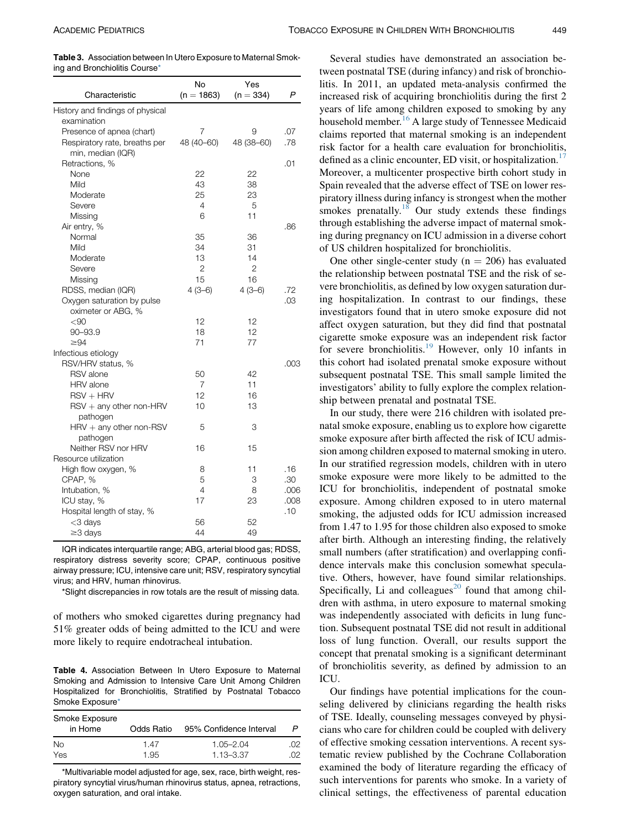<span id="page-3-0"></span>Table 3. Association between In Utero Exposure to Maternal Smoking and Bronchiolitis Course\*

| Characteristic                   | No<br>$(n = 1863)$ | Yes<br>$(n = 334)$ | P    |
|----------------------------------|--------------------|--------------------|------|
| History and findings of physical |                    |                    |      |
| examination                      |                    |                    |      |
| Presence of apnea (chart)        | 7                  | 9                  | .07  |
| Respiratory rate, breaths per    | 48 (40-60)         | 48 (38-60)         | .78  |
| min, median (IQR)                |                    |                    |      |
| Retractions, %                   |                    |                    | .01  |
| None                             | 22                 | 22                 |      |
| Mild                             | 43                 | 38                 |      |
| Moderate                         | 25                 | 23                 |      |
| Severe                           | 4                  | 5                  |      |
| Missing                          | 6                  | 11                 |      |
| Air entry, %                     |                    |                    | .86  |
| Normal                           | 35                 | 36                 |      |
| Mild                             | 34                 | 31                 |      |
| Moderate                         | 13                 | 14                 |      |
| Severe                           | $\overline{2}$     | $\overline{2}$     |      |
| Missing                          | 15                 | 16                 |      |
| RDSS, median (IQR)               | $4(3-6)$           | $4(3-6)$           | .72  |
| Oxygen saturation by pulse       |                    |                    | .03  |
| oximeter or ABG, %               |                    |                    |      |
| $90$                             | 12                 | 12                 |      |
| 90-93.9                          | 18                 | 12                 |      |
| $\geq 94$                        | 71                 | 77                 |      |
| Infectious etiology              |                    |                    |      |
| RSV/HRV status, %                |                    |                    | .003 |
| <b>RSV</b> alone                 | 50                 | 42                 |      |
| <b>HRV</b> alone                 | 7                  | 11                 |      |
| $RSV + HRV$                      | 12                 | 16                 |      |
| $RSV + any other non-HRV$        | 10                 | 13                 |      |
| pathogen                         |                    |                    |      |
| $HRV + any other non-RSV$        | 5                  | 3                  |      |
| pathogen                         |                    |                    |      |
| Neither RSV nor HRV              | 16                 | 15                 |      |
| Resource utilization             |                    |                    |      |
| High flow oxygen, %              | 8                  | 11                 | .16  |
| CPAP, %                          | 5                  | 3                  | .30  |
| Intubation, %                    | 4                  | 8                  | .006 |
| ICU stay, %                      | 17                 | 23                 | .008 |
| Hospital length of stay, %       |                    |                    | .10  |
| <3 days                          | 56                 | 52                 |      |
| $\geq$ 3 days                    | 44                 | 49                 |      |

IQR indicates interquartile range; ABG, arterial blood gas; RDSS, respiratory distress severity score; CPAP, continuous positive airway pressure; ICU, intensive care unit; RSV, respiratory syncytial virus; and HRV, human rhinovirus.

\*Slight discrepancies in row totals are the result of missing data.

of mothers who smoked cigarettes during pregnancy had 51% greater odds of being admitted to the ICU and were more likely to require endotracheal intubation.

Table 4. Association Between In Utero Exposure to Maternal Smoking and Admission to Intensive Care Unit Among Children Hospitalized for Bronchiolitis, Stratified by Postnatal Tobacco Smoke Exposure\*

| Smoke Exposure<br>in Home | Odds Ratio | 95% Confidence Interval |      |
|---------------------------|------------|-------------------------|------|
| No.                       | 1.47       | $1.05 - 2.04$           | .೧2. |
| Yes                       | 1.95       | $1.13 - 3.37$           | O2.  |

\*Multivariable model adjusted for age, sex, race, birth weight, respiratory syncytial virus/human rhinovirus status, apnea, retractions, oxygen saturation, and oral intake.

Several studies have demonstrated an association between postnatal TSE (during infancy) and risk of bronchiolitis. In 2011, an updated meta-analysis confirmed the increased risk of acquiring bronchiolitis during the first 2 years of life among children exposed to smoking by any household member.<sup>[16](#page-5-0)</sup> A large study of Tennessee Medicaid claims reported that maternal smoking is an independent risk factor for a health care evaluation for bronchiolitis, defined as a clinic encounter, ED visit, or hospitalization.<sup>[17](#page-5-0)</sup> Moreover, a multicenter prospective birth cohort study in Spain revealed that the adverse effect of TSE on lower respiratory illness during infancy is strongest when the mother smokes prenatally.<sup>[18](#page-5-0)</sup> Our study extends these findings through establishing the adverse impact of maternal smoking during pregnancy on ICU admission in a diverse cohort of US children hospitalized for bronchiolitis.

One other single-center study ( $n = 206$ ) has evaluated the relationship between postnatal TSE and the risk of severe bronchiolitis, as defined by low oxygen saturation during hospitalization. In contrast to our findings, these investigators found that in utero smoke exposure did not affect oxygen saturation, but they did find that postnatal cigarette smoke exposure was an independent risk factor for severe bronchiolitis.<sup>[19](#page-5-0)</sup> However, only 10 infants in this cohort had isolated prenatal smoke exposure without subsequent postnatal TSE. This small sample limited the investigators' ability to fully explore the complex relationship between prenatal and postnatal TSE.

In our study, there were 216 children with isolated prenatal smoke exposure, enabling us to explore how cigarette smoke exposure after birth affected the risk of ICU admission among children exposed to maternal smoking in utero. In our stratified regression models, children with in utero smoke exposure were more likely to be admitted to the ICU for bronchiolitis, independent of postnatal smoke exposure. Among children exposed to in utero maternal smoking, the adjusted odds for ICU admission increased from 1.47 to 1.95 for those children also exposed to smoke after birth. Although an interesting finding, the relatively small numbers (after stratification) and overlapping confidence intervals make this conclusion somewhat speculative. Others, however, have found similar relationships. Specifically, Li and colleagues<sup>[20](#page-5-0)</sup> found that among children with asthma, in utero exposure to maternal smoking was independently associated with deficits in lung function. Subsequent postnatal TSE did not result in additional loss of lung function. Overall, our results support the concept that prenatal smoking is a significant determinant of bronchiolitis severity, as defined by admission to an ICU.

Our findings have potential implications for the counseling delivered by clinicians regarding the health risks of TSE. Ideally, counseling messages conveyed by physicians who care for children could be coupled with delivery of effective smoking cessation interventions. A recent systematic review published by the Cochrane Collaboration examined the body of literature regarding the efficacy of such interventions for parents who smoke. In a variety of clinical settings, the effectiveness of parental education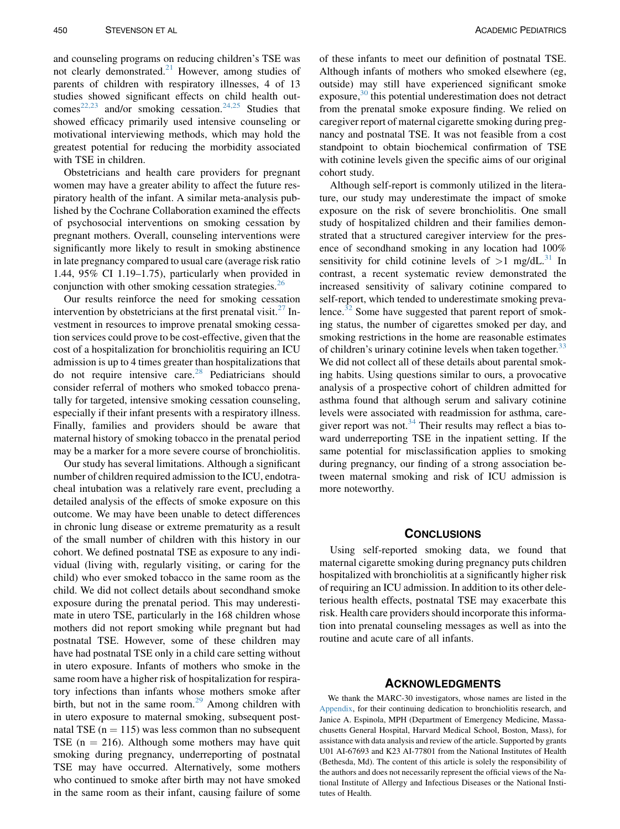and counseling programs on reducing children's TSE was not clearly demonstrated.<sup>21</sup> However, among studies of parents of children with respiratory illnesses, 4 of 13 studies showed significant effects on child health out- $comes^{22,23}$  $comes^{22,23}$  $comes^{22,23}$  and/or smoking cessation.<sup>[24,25](#page-5-0)</sup> Studies that showed efficacy primarily used intensive counseling or motivational interviewing methods, which may hold the greatest potential for reducing the morbidity associated with TSE in children.

Obstetricians and health care providers for pregnant women may have a greater ability to affect the future respiratory health of the infant. A similar meta-analysis published by the Cochrane Collaboration examined the effects of psychosocial interventions on smoking cessation by pregnant mothers. Overall, counseling interventions were significantly more likely to result in smoking abstinence in late pregnancy compared to usual care (average risk ratio 1.44, 95% CI 1.19–1.75), particularly when provided in conjunction with other smoking cessation strategies.<sup>[26](#page-5-0)</sup>

Our results reinforce the need for smoking cessation intervention by obstetricians at the first prenatal visit.<sup>[27](#page-5-0)</sup> Investment in resources to improve prenatal smoking cessation services could prove to be cost-effective, given that the cost of a hospitalization for bronchiolitis requiring an ICU admission is up to 4 times greater than hospitalizations that do not require intensive care. $28$  Pediatricians should consider referral of mothers who smoked tobacco prenatally for targeted, intensive smoking cessation counseling, especially if their infant presents with a respiratory illness. Finally, families and providers should be aware that maternal history of smoking tobacco in the prenatal period may be a marker for a more severe course of bronchiolitis.

Our study has several limitations. Although a significant number of children required admission to the ICU, endotracheal intubation was a relatively rare event, precluding a detailed analysis of the effects of smoke exposure on this outcome. We may have been unable to detect differences in chronic lung disease or extreme prematurity as a result of the small number of children with this history in our cohort. We defined postnatal TSE as exposure to any individual (living with, regularly visiting, or caring for the child) who ever smoked tobacco in the same room as the child. We did not collect details about secondhand smoke exposure during the prenatal period. This may underestimate in utero TSE, particularly in the 168 children whose mothers did not report smoking while pregnant but had postnatal TSE. However, some of these children may have had postnatal TSE only in a child care setting without in utero exposure. Infants of mothers who smoke in the same room have a higher risk of hospitalization for respiratory infections than infants whose mothers smoke after birth, but not in the same room. $2^9$  Among children with in utero exposure to maternal smoking, subsequent postnatal TSE ( $n = 115$ ) was less common than no subsequent TSE ( $n = 216$ ). Although some mothers may have quit smoking during pregnancy, underreporting of postnatal TSE may have occurred. Alternatively, some mothers who continued to smoke after birth may not have smoked in the same room as their infant, causing failure of some

of these infants to meet our definition of postnatal TSE. Although infants of mothers who smoked elsewhere (eg, outside) may still have experienced significant smoke exposure, $30$  this potential underestimation does not detract from the prenatal smoke exposure finding. We relied on caregiver report of maternal cigarette smoking during pregnancy and postnatal TSE. It was not feasible from a cost standpoint to obtain biochemical confirmation of TSE with cotinine levels given the specific aims of our original cohort study.

Although self-report is commonly utilized in the literature, our study may underestimate the impact of smoke exposure on the risk of severe bronchiolitis. One small study of hospitalized children and their families demonstrated that a structured caregiver interview for the presence of secondhand smoking in any location had 100% sensitivity for child cotinine levels of  $>1$  mg/dL.<sup>[31](#page-5-0)</sup> In contrast, a recent systematic review demonstrated the increased sensitivity of salivary cotinine compared to self-report, which tended to underestimate smoking prevalence. $32$  Some have suggested that parent report of smoking status, the number of cigarettes smoked per day, and smoking restrictions in the home are reasonable estimates of children's urinary cotinine levels when taken together. $33$ We did not collect all of these details about parental smoking habits. Using questions similar to ours, a provocative analysis of a prospective cohort of children admitted for asthma found that although serum and salivary cotinine levels were associated with readmission for asthma, caregiver report was not.<sup>34</sup> Their results may reflect a bias toward underreporting TSE in the inpatient setting. If the same potential for misclassification applies to smoking during pregnancy, our finding of a strong association between maternal smoking and risk of ICU admission is more noteworthy.

## **CONCLUSIONS**

Using self-reported smoking data, we found that maternal cigarette smoking during pregnancy puts children hospitalized with bronchiolitis at a significantly higher risk of requiring an ICU admission. In addition to its other deleterious health effects, postnatal TSE may exacerbate this risk. Health care providers should incorporate this information into prenatal counseling messages as well as into the routine and acute care of all infants.

#### ACKNOWLEDGMENTS

We thank the MARC-30 investigators, whose names are listed in the [Appendix,](#page-5-0) for their continuing dedication to bronchiolitis research, and Janice A. Espinola, MPH (Department of Emergency Medicine, Massachusetts General Hospital, Harvard Medical School, Boston, Mass), for assistance with data analysis and review of the article. Supported by grants U01 AI-67693 and K23 AI-77801 from the National Institutes of Health (Bethesda, Md). The content of this article is solely the responsibility of the authors and does not necessarily represent the official views of the National Institute of Allergy and Infectious Diseases or the National Institutes of Health.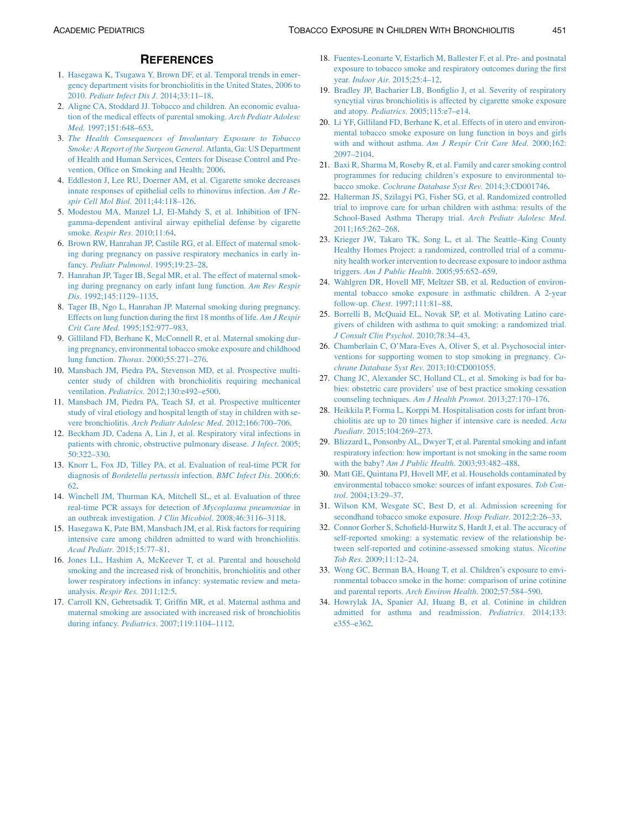## **REFERENCES**

- <span id="page-5-0"></span>1. [Hasegawa K, Tsugawa Y, Brown DF, et al. Temporal trends in emer](http://refhub.elsevier.com/S1876-2859(15)00340-X/sref1)[gency department visits for bronchiolitis in the United States, 2006 to](http://refhub.elsevier.com/S1876-2859(15)00340-X/sref1) 2010. [Pediatr Infect Dis J](http://refhub.elsevier.com/S1876-2859(15)00340-X/sref1). 2014;33:11–18.
- 2. [Aligne CA, Stoddard JJ. Tobacco and children. An economic evalua](http://refhub.elsevier.com/S1876-2859(15)00340-X/sref2)[tion of the medical effects of parental smoking.](http://refhub.elsevier.com/S1876-2859(15)00340-X/sref2) Arch Pediatr Adolesc Med. 1997;151:648-653.
- 3. [The Health Consequences of Involuntary Exposure to Tobacco](http://refhub.elsevier.com/S1876-2859(15)00340-X/sref3) [Smoke: A Report of the Surgeon General](http://refhub.elsevier.com/S1876-2859(15)00340-X/sref3). Atlanta, Ga: US Department [of Health and Human Services, Centers for Disease Control and Pre](http://refhub.elsevier.com/S1876-2859(15)00340-X/sref3)[vention, Office on Smoking and Health; 2006.](http://refhub.elsevier.com/S1876-2859(15)00340-X/sref3)
- 4. [Eddleston J, Lee RU, Doerner AM, et al. Cigarette smoke decreases](http://refhub.elsevier.com/S1876-2859(15)00340-X/sref4) [innate responses of epithelial cells to rhinovirus infection.](http://refhub.elsevier.com/S1876-2859(15)00340-X/sref4) Am J Respir Cell Mol Biol[. 2011;44:118–126](http://refhub.elsevier.com/S1876-2859(15)00340-X/sref4).
- 5. [Modestou MA, Manzel LJ, El-Mahdy S, et al. Inhibition of IFN](http://refhub.elsevier.com/S1876-2859(15)00340-X/sref5)[gamma-dependent antiviral airway epithelial defense by cigarette](http://refhub.elsevier.com/S1876-2859(15)00340-X/sref5) smoke. Respir Res[. 2010;11:64](http://refhub.elsevier.com/S1876-2859(15)00340-X/sref5).
- 6. [Brown RW, Hanrahan JP, Castile RG, et al. Effect of maternal smok](http://refhub.elsevier.com/S1876-2859(15)00340-X/sref6)[ing during pregnancy on passive respiratory mechanics in early in](http://refhub.elsevier.com/S1876-2859(15)00340-X/sref6)fancy. [Pediatr Pulmonol](http://refhub.elsevier.com/S1876-2859(15)00340-X/sref6). 1995;19:23–28.
- 7. [Hanrahan JP, Tager IB, Segal MR, et al. The effect of maternal smok](http://refhub.elsevier.com/S1876-2859(15)00340-X/sref7)[ing during pregnancy on early infant lung function.](http://refhub.elsevier.com/S1876-2859(15)00340-X/sref7) Am Rev Respir Dis[. 1992;145:1129–1135](http://refhub.elsevier.com/S1876-2859(15)00340-X/sref7).
- 8. [Tager IB, Ngo L, Hanrahan JP. Maternal smoking during pregnancy.](http://refhub.elsevier.com/S1876-2859(15)00340-X/sref8) [Effects on lung function during the first 18 months of life.](http://refhub.elsevier.com/S1876-2859(15)00340-X/sref8) Am J Respir Crit Care Med[. 1995;152:977–983.](http://refhub.elsevier.com/S1876-2859(15)00340-X/sref8)
- 9. [Gilliland FD, Berhane K, McConnell R, et al. Maternal smoking dur](http://refhub.elsevier.com/S1876-2859(15)00340-X/sref9)[ing pregnancy, environmental tobacco smoke exposure and childhood](http://refhub.elsevier.com/S1876-2859(15)00340-X/sref9) lung function. Thorax[. 2000;55:271–276.](http://refhub.elsevier.com/S1876-2859(15)00340-X/sref9)
- 10. [Mansbach JM, Piedra PA, Stevenson MD, et al. Prospective multi](http://refhub.elsevier.com/S1876-2859(15)00340-X/sref10)[center study of children with bronchiolitis requiring mechanical](http://refhub.elsevier.com/S1876-2859(15)00340-X/sref10) ventilation. Pediatrics[. 2012;130:e492–e500](http://refhub.elsevier.com/S1876-2859(15)00340-X/sref10).
- 11. [Mansbach JM, Piedra PA, Teach SJ, et al. Prospective multicenter](http://refhub.elsevier.com/S1876-2859(15)00340-X/sref11) [study of viral etiology and hospital length of stay in children with se](http://refhub.elsevier.com/S1876-2859(15)00340-X/sref11)vere bronchiolitis. [Arch Pediatr Adolesc Med](http://refhub.elsevier.com/S1876-2859(15)00340-X/sref11). 2012;166:700–706.
- 12. [Beckham JD, Cadena A, Lin J, et al. Respiratory viral infections in](http://refhub.elsevier.com/S1876-2859(15)00340-X/sref12) [patients with chronic, obstructive pulmonary disease.](http://refhub.elsevier.com/S1876-2859(15)00340-X/sref12) J Infect. 2005; [50:322–330](http://refhub.elsevier.com/S1876-2859(15)00340-X/sref12).
- 13. [Knorr L, Fox JD, Tilley PA, et al. Evaluation of real-time PCR for](http://refhub.elsevier.com/S1876-2859(15)00340-X/sref13) diagnosis of [Bordetella pertussis](http://refhub.elsevier.com/S1876-2859(15)00340-X/sref13) infection. BMC Infect Dis. 2006;6: [62](http://refhub.elsevier.com/S1876-2859(15)00340-X/sref13).
- 14. [Winchell JM, Thurman KA, Mitchell SL, et al. Evaluation of three](http://refhub.elsevier.com/S1876-2859(15)00340-X/sref14) [real-time PCR assays for detection of](http://refhub.elsevier.com/S1876-2859(15)00340-X/sref14) Mycoplasma pneumoniae in [an outbreak investigation.](http://refhub.elsevier.com/S1876-2859(15)00340-X/sref14) J Clin Micobiol. 2008;46:3116–3118.
- 15. [Hasegawa K, Pate BM, Mansbach JM, et al. Risk factors for requiring](http://refhub.elsevier.com/S1876-2859(15)00340-X/sref15) [intensive care among children admitted to ward with bronchiolitis.](http://refhub.elsevier.com/S1876-2859(15)00340-X/sref15) Acad Pediatr[. 2015;15:77–81](http://refhub.elsevier.com/S1876-2859(15)00340-X/sref15).
- 16. [Jones LL, Hashim A, McKeever T, et al. Parental and household](http://refhub.elsevier.com/S1876-2859(15)00340-X/sref16) [smoking and the increased risk of bronchitis, bronchiolitis and other](http://refhub.elsevier.com/S1876-2859(15)00340-X/sref16) [lower respiratory infections in infancy: systematic review and meta](http://refhub.elsevier.com/S1876-2859(15)00340-X/sref16)analysis. Respir Res[. 2011;12:5](http://refhub.elsevier.com/S1876-2859(15)00340-X/sref16).
- 17. [Carroll KN, Gebretsadik T, Griffin MR, et al. Maternal asthma and](http://refhub.elsevier.com/S1876-2859(15)00340-X/sref17) [maternal smoking are associated with increased risk of bronchiolitis](http://refhub.elsevier.com/S1876-2859(15)00340-X/sref17) during infancy. Pediatrics[. 2007;119:1104–1112](http://refhub.elsevier.com/S1876-2859(15)00340-X/sref17).
- 18. [Fuentes-Leonarte V, Estarlich M, Ballester F, et al. Pre- and postnatal](http://refhub.elsevier.com/S1876-2859(15)00340-X/sref18) [exposure to tobacco smoke and respiratory outcomes during the first](http://refhub.elsevier.com/S1876-2859(15)00340-X/sref18) year. Indoor Air[. 2015;25:4–12.](http://refhub.elsevier.com/S1876-2859(15)00340-X/sref18)
- 19. [Bradley JP, Bacharier LB, Bonfiglio J, et al. Severity of respiratory](http://refhub.elsevier.com/S1876-2859(15)00340-X/sref19) [syncytial virus bronchiolitis is affected by cigarette smoke exposure](http://refhub.elsevier.com/S1876-2859(15)00340-X/sref19) and atopy. Pediatrics[. 2005;115:e7–e14](http://refhub.elsevier.com/S1876-2859(15)00340-X/sref19).
- 20. [Li YF, Gilliland FD, Berhane K, et al. Effects of in utero and environ](http://refhub.elsevier.com/S1876-2859(15)00340-X/sref20)[mental tobacco smoke exposure on lung function in boys and girls](http://refhub.elsevier.com/S1876-2859(15)00340-X/sref20) with and without asthma. [Am J Respir Crit Care Med](http://refhub.elsevier.com/S1876-2859(15)00340-X/sref20). 2000;162: [2097–2104.](http://refhub.elsevier.com/S1876-2859(15)00340-X/sref20)
- 21. [Baxi R, Sharma M, Roseby R, et al. Family and carer smoking control](http://refhub.elsevier.com/S1876-2859(15)00340-X/sref21) [programmes for reducing children's exposure to environmental to](http://refhub.elsevier.com/S1876-2859(15)00340-X/sref21)bacco smoke. [Cochrane Database Syst Rev](http://refhub.elsevier.com/S1876-2859(15)00340-X/sref21). 2014;3:CD001746.
- 22. [Halterman JS, Szilagyi PG, Fisher SG, et al. Randomized controlled](http://refhub.elsevier.com/S1876-2859(15)00340-X/sref22) [trial to improve care for urban children with asthma: results of the](http://refhub.elsevier.com/S1876-2859(15)00340-X/sref22) [School-Based Asthma Therapy trial.](http://refhub.elsevier.com/S1876-2859(15)00340-X/sref22) Arch Pediatr Adolesc Med. [2011;165:262–268](http://refhub.elsevier.com/S1876-2859(15)00340-X/sref22).
- 23. [Krieger JW, Takaro TK, Song L, et al. The Seattle–King County](http://refhub.elsevier.com/S1876-2859(15)00340-X/sref23) [Healthy Homes Project: a randomized, controlled trial of a commu](http://refhub.elsevier.com/S1876-2859(15)00340-X/sref23)[nity health worker intervention to decrease exposure to indoor asthma](http://refhub.elsevier.com/S1876-2859(15)00340-X/sref23) triggers. [Am J Public Health](http://refhub.elsevier.com/S1876-2859(15)00340-X/sref23). 2005;95:652–659.
- 24. [Wahlgren DR, Hovell MF, Meltzer SB, et al. Reduction of environ](http://refhub.elsevier.com/S1876-2859(15)00340-X/sref24)[mental tobacco smoke exposure in asthmatic children. A 2-year](http://refhub.elsevier.com/S1876-2859(15)00340-X/sref24) follow-up. Chest[. 1997;111:81–88](http://refhub.elsevier.com/S1876-2859(15)00340-X/sref24).
- 25. [Borrelli B, McQuaid EL, Novak SP, et al. Motivating Latino care](http://refhub.elsevier.com/S1876-2859(15)00340-X/sref25)[givers of children with asthma to quit smoking: a randomized trial.](http://refhub.elsevier.com/S1876-2859(15)00340-X/sref25) [J Consult Clin Psychol](http://refhub.elsevier.com/S1876-2859(15)00340-X/sref25). 2010;78:34–43.
- 26. [Chamberlain C, O'Mara-Eves A, Oliver S, et al. Psychosocial inter](http://refhub.elsevier.com/S1876-2859(15)00340-X/sref26)[ventions for supporting women to stop smoking in pregnancy.](http://refhub.elsevier.com/S1876-2859(15)00340-X/sref26) Co[chrane Database Syst Rev](http://refhub.elsevier.com/S1876-2859(15)00340-X/sref26). 2013;10:CD001055.
- 27. [Chang JC, Alexander SC, Holland CL, et al. Smoking is bad for ba](http://refhub.elsevier.com/S1876-2859(15)00340-X/sref27)[bies: obstetric care providers' use of best practice smoking cessation](http://refhub.elsevier.com/S1876-2859(15)00340-X/sref27) [counseling techniques.](http://refhub.elsevier.com/S1876-2859(15)00340-X/sref27) Am J Health Promot. 2013;27:170–176.
- 28. [Heikkila P, Forma L, Korppi M. Hospitalisation costs for infant bron](http://refhub.elsevier.com/S1876-2859(15)00340-X/sref28)[chiolitis are up to 20 times higher if intensive care is needed.](http://refhub.elsevier.com/S1876-2859(15)00340-X/sref28) Acta Paediatr[. 2015;104:269–273](http://refhub.elsevier.com/S1876-2859(15)00340-X/sref28).
- 29. [Blizzard L, Ponsonby AL, Dwyer T, et al. Parental smoking and infant](http://refhub.elsevier.com/S1876-2859(15)00340-X/sref29) [respiratory infection: how important is not smoking in the same room](http://refhub.elsevier.com/S1876-2859(15)00340-X/sref29) with the baby? [Am J Public Health](http://refhub.elsevier.com/S1876-2859(15)00340-X/sref29). 2003;93:482-488.
- 30. [Matt GE, Quintana PJ, Hovell MF, et al. Households contaminated by](http://refhub.elsevier.com/S1876-2859(15)00340-X/sref30) [environmental tobacco smoke: sources of infant exposures.](http://refhub.elsevier.com/S1876-2859(15)00340-X/sref30) Tob Control[. 2004;13:29–37.](http://refhub.elsevier.com/S1876-2859(15)00340-X/sref30)
- 31. [Wilson KM, Wesgate SC, Best D, et al. Admission screening for](http://refhub.elsevier.com/S1876-2859(15)00340-X/sref31) [secondhand tobacco smoke exposure.](http://refhub.elsevier.com/S1876-2859(15)00340-X/sref31) Hosp Pediatr. 2012;2:26-33.
- 32. [Connor Gorber S, Schofield-Hurwitz S, Hardt J, et al. The accuracy of](http://refhub.elsevier.com/S1876-2859(15)00340-X/sref32) [self-reported smoking: a systematic review of the relationship be](http://refhub.elsevier.com/S1876-2859(15)00340-X/sref32)[tween self-reported and cotinine-assessed smoking status.](http://refhub.elsevier.com/S1876-2859(15)00340-X/sref32) Nicotine Tob Res[. 2009;11:12–24.](http://refhub.elsevier.com/S1876-2859(15)00340-X/sref32)
- 33. [Wong GC, Berman BA, Hoang T, et al. Children's exposure to envi](http://refhub.elsevier.com/S1876-2859(15)00340-X/sref33)[ronmental tobacco smoke in the home: comparison of urine cotinine](http://refhub.elsevier.com/S1876-2859(15)00340-X/sref33) and parental reports. [Arch Environ Health](http://refhub.elsevier.com/S1876-2859(15)00340-X/sref33). 2002;57:584–590.
- 34. [Howrylak JA, Spanier AJ, Huang B, et al. Cotinine in children](http://refhub.elsevier.com/S1876-2859(15)00340-X/sref34) [admitted for asthma and readmission.](http://refhub.elsevier.com/S1876-2859(15)00340-X/sref34) Pediatrics. 2014;133: [e355–e362](http://refhub.elsevier.com/S1876-2859(15)00340-X/sref34).